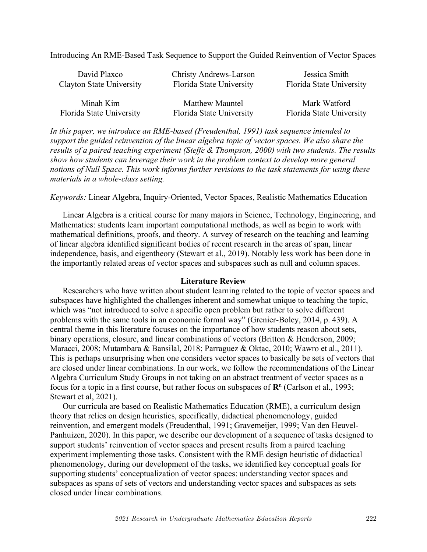Introducing An RME-Based Task Sequence to Support the Guided Reinvention of Vector Spaces

| David Plaxco             | <b>Christy Andrews-Larson</b> | Jessica Smith            |  |  |
|--------------------------|-------------------------------|--------------------------|--|--|
| Clayton State University | Florida State University      | Florida State University |  |  |
| Minah Kim                | Matthew Mauntel               | Mark Watford             |  |  |
| Florida State University | Florida State University      | Florida State University |  |  |

*In this paper, we introduce an RME-based (Freudenthal, 1991) task sequence intended to support the guided reinvention of the linear algebra topic of vector spaces. We also share the results of a paired teaching experiment (Steffe & Thompson, 2000) with two students. The results show how students can leverage their work in the problem context to develop more general notions of Null Space. This work informs further revisions to the task statements for using these materials in a whole-class setting.*

*Keywords:* Linear Algebra, Inquiry-Oriented, Vector Spaces, Realistic Mathematics Education

Linear Algebra is a critical course for many majors in Science, Technology, Engineering, and Mathematics: students learn important computational methods, as well as begin to work with mathematical definitions, proofs, and theory. A survey of research on the teaching and learning of linear algebra identified significant bodies of recent research in the areas of span, linear independence, basis, and eigentheory (Stewart et al., 2019). Notably less work has been done in the importantly related areas of vector spaces and subspaces such as null and column spaces.

# **Literature Review**

Researchers who have written about student learning related to the topic of vector spaces and subspaces have highlighted the challenges inherent and somewhat unique to teaching the topic, which was "not introduced to solve a specific open problem but rather to solve different problems with the same tools in an economic formal way" (Grenier-Boley, 2014, p. 439). A central theme in this literature focuses on the importance of how students reason about sets, binary operations, closure, and linear combinations of vectors (Britton & Henderson, 2009; Maracci, 2008; Mutambara & Bansilal, 2018; Parraguez & Oktac, 2010; Wawro et al., 2011). This is perhaps unsurprising when one considers vector spaces to basically be sets of vectors that are closed under linear combinations. In our work, we follow the recommendations of the Linear Algebra Curriculum Study Groups in not taking on an abstract treatment of vector spaces as a focus for a topic in a first course, but rather focus on subspaces of  $\mathbb{R}^n$  (Carlson et al., 1993; Stewart et al, 2021).

Our curricula are based on Realistic Mathematics Education (RME), a curriculum design theory that relies on design heuristics, specifically, didactical phenomenology, guided reinvention, and emergent models (Freudenthal, 1991; Gravemeijer, 1999; Van den Heuvel-Panhuizen, 2020). In this paper, we describe our development of a sequence of tasks designed to support students' reinvention of vector spaces and present results from a paired teaching experiment implementing those tasks. Consistent with the RME design heuristic of didactical phenomenology, during our development of the tasks, we identified key conceptual goals for supporting students' conceptualization of vector spaces: understanding vector spaces and subspaces as spans of sets of vectors and understanding vector spaces and subspaces as sets closed under linear combinations.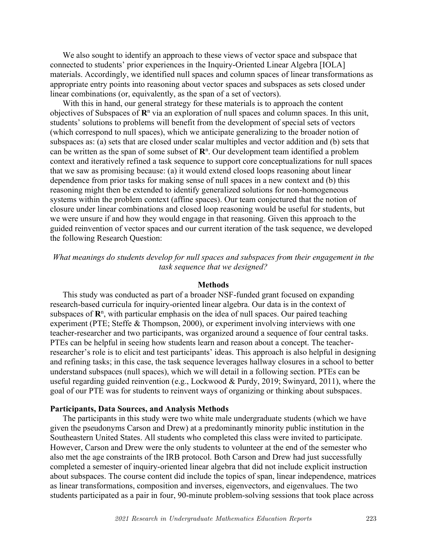We also sought to identify an approach to these views of vector space and subspace that connected to students' prior experiences in the Inquiry-Oriented Linear Algebra [IOLA] materials. Accordingly, we identified null spaces and column spaces of linear transformations as appropriate entry points into reasoning about vector spaces and subspaces as sets closed under linear combinations (or, equivalently, as the span of a set of vectors).

With this in hand, our general strategy for these materials is to approach the content objectives of Subspaces of **R**<sup>n</sup> via an exploration of null spaces and column spaces. In this unit, students' solutions to problems will benefit from the development of special sets of vectors (which correspond to null spaces), which we anticipate generalizing to the broader notion of subspaces as: (a) sets that are closed under scalar multiples and vector addition and (b) sets that can be written as the span of some subset of  $\mathbb{R}^n$ . Our development team identified a problem context and iteratively refined a task sequence to support core conceptualizations for null spaces that we saw as promising because: (a) it would extend closed loops reasoning about linear dependence from prior tasks for making sense of null spaces in a new context and (b) this reasoning might then be extended to identify generalized solutions for non-homogeneous systems within the problem context (affine spaces). Our team conjectured that the notion of closure under linear combinations and closed loop reasoning would be useful for students, but we were unsure if and how they would engage in that reasoning. Given this approach to the guided reinvention of vector spaces and our current iteration of the task sequence, we developed the following Research Question:

*What meanings do students develop for null spaces and subspaces from their engagement in the task sequence that we designed?*

## **Methods**

This study was conducted as part of a broader NSF-funded grant focused on expanding research-based curricula for inquiry-oriented linear algebra. Our data is in the context of subspaces of  $\mathbb{R}^n$ , with particular emphasis on the idea of null spaces. Our paired teaching experiment (PTE; Steffe & Thompson, 2000), or experiment involving interviews with one teacher-researcher and two participants, was organized around a sequence of four central tasks. PTEs can be helpful in seeing how students learn and reason about a concept. The teacherresearcher's role is to elicit and test participants' ideas. This approach is also helpful in designing and refining tasks; in this case, the task sequence leverages hallway closures in a school to better understand subspaces (null spaces), which we will detail in a following section. PTEs can be useful regarding guided reinvention (e.g., Lockwood & Purdy, 2019; Swinyard, 2011), where the goal of our PTE was for students to reinvent ways of organizing or thinking about subspaces.

### **Participants, Data Sources, and Analysis Methods**

The participants in this study were two white male undergraduate students (which we have given the pseudonyms Carson and Drew) at a predominantly minority public institution in the Southeastern United States. All students who completed this class were invited to participate. However, Carson and Drew were the only students to volunteer at the end of the semester who also met the age constraints of the IRB protocol. Both Carson and Drew had just successfully completed a semester of inquiry-oriented linear algebra that did not include explicit instruction about subspaces. The course content did include the topics of span, linear independence, matrices as linear transformations, composition and inverses, eigenvectors, and eigenvalues. The two students participated as a pair in four, 90-minute problem-solving sessions that took place across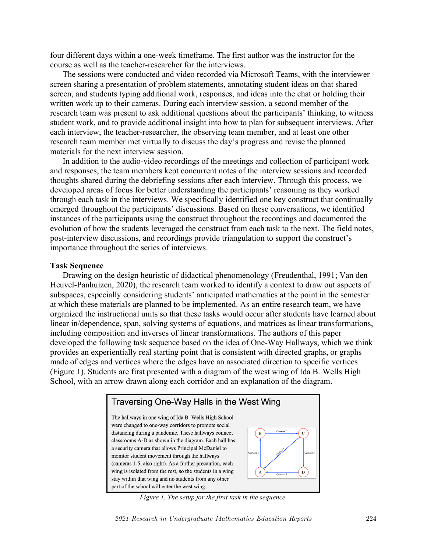four different days within a one-week timeframe. The first author was the instructor for the course as well as the teacher-researcher for the interviews.

The sessions were conducted and video recorded via Microsoft Teams, with the interviewer screen sharing a presentation of problem statements, annotating student ideas on that shared screen, and students typing additional work, responses, and ideas into the chat or holding their written work up to their cameras. During each interview session, a second member of the research team was present to ask additional questions about the participants' thinking, to witness student work, and to provide additional insight into how to plan for subsequent interviews. After each interview, the teacher-researcher, the observing team member, and at least one other research team member met virtually to discuss the day's progress and revise the planned materials for the next interview session.

In addition to the audio-video recordings of the meetings and collection of participant work and responses, the team members kept concurrent notes of the interview sessions and recorded thoughts shared during the debriefing sessions after each interview. Through this process, we developed areas of focus for better understanding the participants' reasoning as they worked through each task in the interviews. We specifically identified one key construct that continually emerged throughout the participants' discussions. Based on these conversations, we identified instances of the participants using the construct throughout the recordings and documented the evolution of how the students leveraged the construct from each task to the next. The field notes, post-interview discussions, and recordings provide triangulation to support the construct's importance throughout the series of interviews.

# **Task Sequence**

Drawing on the design heuristic of didactical phenomenology (Freudenthal, 1991; Van den Heuvel-Panhuizen, 2020), the research team worked to identify a context to draw out aspects of subspaces, especially considering students' anticipated mathematics at the point in the semester at which these materials are planned to be implemented. As an entire research team, we have organized the instructional units so that these tasks would occur after students have learned about linear in/dependence, span, solving systems of equations, and matrices as linear transformations, including composition and inverses of linear transformations. The authors of this paper developed the following task sequence based on the idea of One-Way Hallways, which we think provides an experientially real starting point that is consistent with directed graphs, or graphs made of edges and vertices where the edges have an associated direction to specific vertices (Figure 1). Students are first presented with a diagram of the west wing of Ida B. Wells High School, with an arrow drawn along each corridor and an explanation of the diagram.



*Figure 1. The setup for the first task in the sequence.*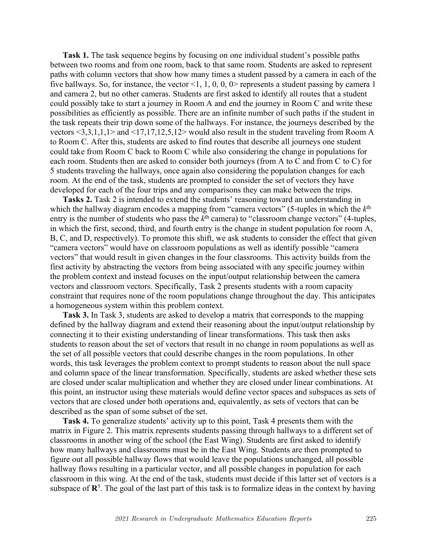**Task 1.** The task sequence begins by focusing on one individual student's possible paths between two rooms and from one room, back to that same room. Students are asked to represent paths with column vectors that show how many times a student passed by a camera in each of the five hallways. So, for instance, the vector <1, 1, 0, 0, 0> represents a student passing by camera 1 and camera 2, but no other cameras. Students are first asked to identify all routes that a student could possibly take to start a journey in Room A and end the journey in Room C and write these possibilities as efficiently as possible. There are an infinite number of such paths if the student in the task repeats their trip down some of the hallways. For instance, the journeys described by the vectors  $\leq 3,3,1,1,1>$  and  $\leq 17,17,12,5,12>$  would also result in the student traveling from Room A to Room C. After this, students are asked to find routes that describe all journeys one student could take from Room C back to Room C while also considering the change in populations for each room. Students then are asked to consider both journeys (from A to C and from C to C) for 5 students traveling the hallways, once again also considering the population changes for each room. At the end of the task, students are prompted to consider the set of vectors they have developed for each of the four trips and any comparisons they can make between the trips.

**Tasks 2.** Task 2 is intended to extend the students' reasoning toward an understanding in which the hallway diagram encodes a mapping from "camera vectors" (5-tuples in which the  $k^{\text{th}}$ entry is the number of students who pass the  $k<sup>th</sup>$  camera) to "classroom change vectors" (4-tuples, in which the first, second, third, and fourth entry is the change in student population for room A, B, C, and D, respectively). To promote this shift, we ask students to consider the effect that given "camera vectors" would have on classroom populations as well as identify possible "camera vectors" that would result in given changes in the four classrooms. This activity builds from the first activity by abstracting the vectors from being associated with any specific journey within the problem context and instead focuses on the input/output relationship between the camera vectors and classroom vectors. Specifically, Task 2 presents students with a room capacity constraint that requires none of the room populations change throughout the day. This anticipates a homogeneous system within this problem context.

**Task 3.** In Task 3, students are asked to develop a matrix that corresponds to the mapping defined by the hallway diagram and extend their reasoning about the input/output relationship by connecting it to their existing understanding of linear transformations. This task then asks students to reason about the set of vectors that result in no change in room populations as well as the set of all possible vectors that could describe changes in the room populations. In other words, this task leverages the problem context to prompt students to reason about the null space and column space of the linear transformation. Specifically, students are asked whether these sets are closed under scalar multiplication and whether they are closed under linear combinations. At this point, an instructor using these materials would define vector spaces and subspaces as sets of vectors that are closed under both operations and, equivalently, as sets of vectors that can be described as the span of some subset of the set.

**Task 4.** To generalize students' activity up to this point, Task 4 presents them with the matrix in Figure 2. This matrix represents students passing through hallways to a different set of classrooms in another wing of the school (the East Wing). Students are first asked to identify how many hallways and classrooms must be in the East Wing. Students are then prompted to figure out all possible hallway flows that would leave the populations unchanged, all possible hallway flows resulting in a particular vector, and all possible changes in population for each classroom in this wing. At the end of the task, students must decide if this latter set of vectors is a subspace of  $\mathbb{R}^5$ . The goal of the last part of this task is to formalize ideas in the context by having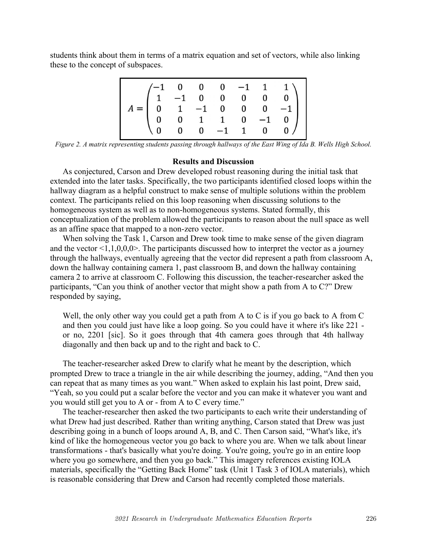students think about them in terms of a matrix equation and set of vectors, while also linking these to the concept of subspaces.

|  |  |  | $A=\begin{pmatrix} -1 & 0 & 0 & 0 & -1 & 1 & 1 \\ 1 & -1 & 0 & 0 & 0 & 0 & 0 \\ 0 & 1 & -1 & 0 & 0 & 0 & -1 \\ 0 & 0 & 1 & 1 & 0 & -1 & 0 \\ 0 & 0 & 0 & -1 & 1 & 0 & 0 \end{pmatrix}$ |
|--|--|--|----------------------------------------------------------------------------------------------------------------------------------------------------------------------------------------|

*Figure 2. A matrix representing students passing through hallways of the East Wing of Ida B. Wells High School.*

#### **Results and Discussion**

As conjectured, Carson and Drew developed robust reasoning during the initial task that extended into the later tasks. Specifically, the two participants identified closed loops within the hallway diagram as a helpful construct to make sense of multiple solutions within the problem context. The participants relied on this loop reasoning when discussing solutions to the homogeneous system as well as to non-homogeneous systems. Stated formally, this conceptualization of the problem allowed the participants to reason about the null space as well as an affine space that mapped to a non-zero vector.

When solving the Task 1, Carson and Drew took time to make sense of the given diagram and the vector  $\leq 1,1,0,0,0$ . The participants discussed how to interpret the vector as a journey through the hallways, eventually agreeing that the vector did represent a path from classroom A, down the hallway containing camera 1, past classroom B, and down the hallway containing camera 2 to arrive at classroom C. Following this discussion, the teacher-researcher asked the participants, "Can you think of another vector that might show a path from A to C?" Drew responded by saying,

Well, the only other way you could get a path from A to C is if you go back to A from C and then you could just have like a loop going. So you could have it where it's like 221 or no, 2201 [sic]. So it goes through that 4th camera goes through that 4th hallway diagonally and then back up and to the right and back to C.

The teacher-researcher asked Drew to clarify what he meant by the description, which prompted Drew to trace a triangle in the air while describing the journey, adding, "And then you can repeat that as many times as you want." When asked to explain his last point, Drew said, "Yeah, so you could put a scalar before the vector and you can make it whatever you want and you would still get you to A or - from A to C every time."

The teacher-researcher then asked the two participants to each write their understanding of what Drew had just described. Rather than writing anything, Carson stated that Drew was just describing going in a bunch of loops around A, B, and C. Then Carson said, "What's like, it's kind of like the homogeneous vector you go back to where you are. When we talk about linear transformations - that's basically what you're doing. You're going, you're go in an entire loop where you go somewhere, and then you go back." This imagery references existing IOLA materials, specifically the "Getting Back Home" task (Unit 1 Task 3 of IOLA materials), which is reasonable considering that Drew and Carson had recently completed those materials.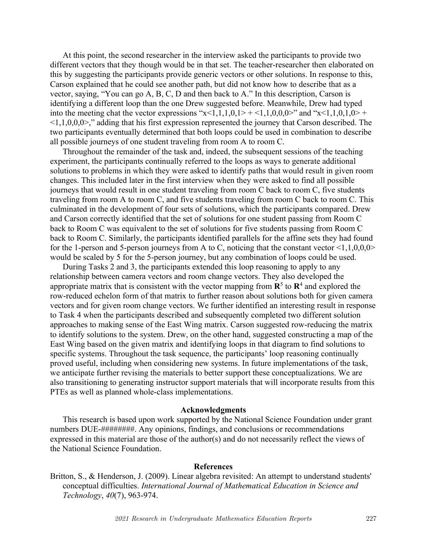At this point, the second researcher in the interview asked the participants to provide two different vectors that they though would be in that set. The teacher-researcher then elaborated on this by suggesting the participants provide generic vectors or other solutions. In response to this, Carson explained that he could see another path, but did not know how to describe that as a vector, saying, "You can go A, B, C, D and then back to A." In this description, Carson is identifying a different loop than the one Drew suggested before. Meanwhile, Drew had typed into the meeting chat the vector expressions " $x<1,1,1,0,1>$  +  $\lt1,1,0,0,0>$ " and " $x<1,1,0,1,0>$  +  $\langle 1,1,0,0,0 \rangle$ ," adding that his first expression represented the journey that Carson described. The two participants eventually determined that both loops could be used in combination to describe all possible journeys of one student traveling from room A to room C.

Throughout the remainder of the task and, indeed, the subsequent sessions of the teaching experiment, the participants continually referred to the loops as ways to generate additional solutions to problems in which they were asked to identify paths that would result in given room changes. This included later in the first interview when they were asked to find all possible journeys that would result in one student traveling from room C back to room C, five students traveling from room A to room C, and five students traveling from room C back to room C. This culminated in the development of four sets of solutions, which the participants compared. Drew and Carson correctly identified that the set of solutions for one student passing from Room C back to Room C was equivalent to the set of solutions for five students passing from Room C back to Room C. Similarly, the participants identified parallels for the affine sets they had found for the 1-person and 5-person journeys from A to C, noticing that the constant vector  $\leq 1,1,0,0,0>$ would be scaled by 5 for the 5-person journey, but any combination of loops could be used.

During Tasks 2 and 3, the participants extended this loop reasoning to apply to any relationship between camera vectors and room change vectors. They also developed the appropriate matrix that is consistent with the vector mapping from  $\mathbb{R}^5$  to  $\mathbb{R}^4$  and explored the row-reduced echelon form of that matrix to further reason about solutions both for given camera vectors and for given room change vectors. We further identified an interesting result in response to Task 4 when the participants described and subsequently completed two different solution approaches to making sense of the East Wing matrix. Carson suggested row-reducing the matrix to identify solutions to the system. Drew, on the other hand, suggested constructing a map of the East Wing based on the given matrix and identifying loops in that diagram to find solutions to specific systems. Throughout the task sequence, the participants' loop reasoning continually proved useful, including when considering new systems. In future implementations of the task, we anticipate further revising the materials to better support these conceptualizations. We are also transitioning to generating instructor support materials that will incorporate results from this PTEs as well as planned whole-class implementations.

#### **Acknowledgments**

This research is based upon work supported by the National Science Foundation under grant numbers DUE-#########. Any opinions, findings, and conclusions or recommendations expressed in this material are those of the author(s) and do not necessarily reflect the views of the National Science Foundation.

#### **References**

Britton, S., & Henderson, J. (2009). Linear algebra revisited: An attempt to understand students' conceptual difficulties. *International Journal of Mathematical Education in Science and Technology*, *40*(7), 963-974.